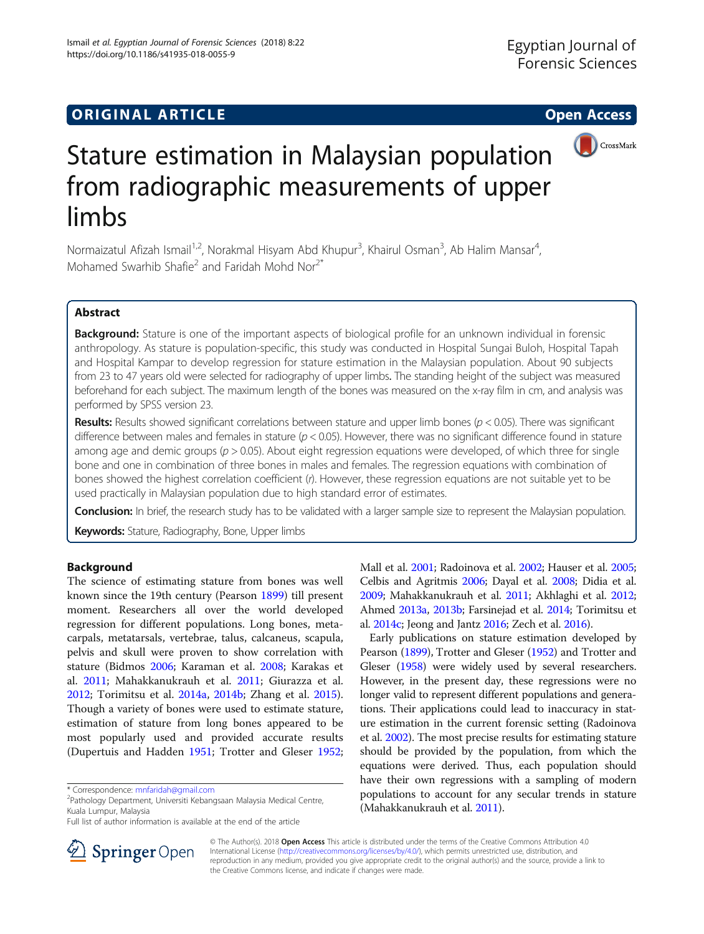

# Stature estimation in Malaysian population from radiographic measurements of upper limbs

Normaizatul Afizah Ismail<sup>1,2</sup>, Norakmal Hisyam Abd Khupur<sup>3</sup>, Khairul Osman<sup>3</sup>, Ab Halim Mansar<sup>4</sup> , Mohamed Swarhib Shafie<sup>2</sup> and Faridah Mohd Nor<sup>2\*</sup>

# Abstract

Background: Stature is one of the important aspects of biological profile for an unknown individual in forensic anthropology. As stature is population-specific, this study was conducted in Hospital Sungai Buloh, Hospital Tapah and Hospital Kampar to develop regression for stature estimation in the Malaysian population. About 90 subjects from 23 to 47 years old were selected for radiography of upper limbs. The standing height of the subject was measured beforehand for each subject. The maximum length of the bones was measured on the x-ray film in cm, and analysis was performed by SPSS version 23.

**Results:** Results showed significant correlations between stature and upper limb bones ( $p < 0.05$ ). There was significant difference between males and females in stature ( $p < 0.05$ ). However, there was no significant difference found in stature among age and demic groups ( $p > 0.05$ ). About eight regression equations were developed, of which three for single bone and one in combination of three bones in males and females. The regression equations with combination of bones showed the highest correlation coefficient (r). However, these regression equations are not suitable yet to be used practically in Malaysian population due to high standard error of estimates.

Conclusion: In brief, the research study has to be validated with a larger sample size to represent the Malaysian population.

Keywords: Stature, Radiography, Bone, Upper limbs

# Background

The science of estimating stature from bones was well known since the 19th century (Pearson [1899](#page-4-0)) till present moment. Researchers all over the world developed regression for different populations. Long bones, metacarpals, metatarsals, vertebrae, talus, calcaneus, scapula, pelvis and skull were proven to show correlation with stature (Bidmos [2006;](#page-4-0) Karaman et al. [2008;](#page-4-0) Karakas et al. [2011](#page-4-0); Mahakkanukrauh et al. [2011](#page-4-0); Giurazza et al. [2012](#page-4-0); Torimitsu et al. [2014a](#page-4-0), [2014b;](#page-4-0) Zhang et al. [2015](#page-4-0)). Though a variety of bones were used to estimate stature, estimation of stature from long bones appeared to be most popularly used and provided accurate results (Dupertuis and Hadden [1951](#page-4-0); Trotter and Gleser [1952](#page-4-0);

<sup>2</sup>Pathology Department, Universiti Kebangsaan Malaysia Medical Centre, Kuala Lumpur, Malaysia

Mall et al. [2001](#page-4-0); Radoinova et al. [2002;](#page-4-0) Hauser et al. [2005](#page-4-0); Celbis and Agritmis [2006](#page-4-0); Dayal et al. [2008;](#page-4-0) Didia et al. [2009;](#page-4-0) Mahakkanukrauh et al. [2011](#page-4-0); Akhlaghi et al. [2012](#page-4-0); Ahmed [2013a](#page-4-0), [2013b](#page-4-0); Farsinejad et al. [2014](#page-4-0); Torimitsu et al. [2014c;](#page-4-0) Jeong and Jantz [2016](#page-4-0); Zech et al. [2016\)](#page-4-0).

Early publications on stature estimation developed by Pearson [\(1899](#page-4-0)), Trotter and Gleser [\(1952\)](#page-4-0) and Trotter and Gleser ([1958\)](#page-4-0) were widely used by several researchers. However, in the present day, these regressions were no longer valid to represent different populations and generations. Their applications could lead to inaccuracy in stature estimation in the current forensic setting (Radoinova et al. [2002](#page-4-0)). The most precise results for estimating stature should be provided by the population, from which the equations were derived. Thus, each population should have their own regressions with a sampling of modern populations to account for any secular trends in stature (Mahakkanukrauh et al. [2011\)](#page-4-0).



© The Author(s). 2018 Open Access This article is distributed under the terms of the Creative Commons Attribution 4.0 International License ([http://creativecommons.org/licenses/by/4.0/\)](http://creativecommons.org/licenses/by/4.0/), which permits unrestricted use, distribution, and reproduction in any medium, provided you give appropriate credit to the original author(s) and the source, provide a link to the Creative Commons license, and indicate if changes were made.

<sup>\*</sup> Correspondence: [mnfaridah@gmail.com](mailto:mnfaridah@gmail.com) <sup>2</sup>

Full list of author information is available at the end of the article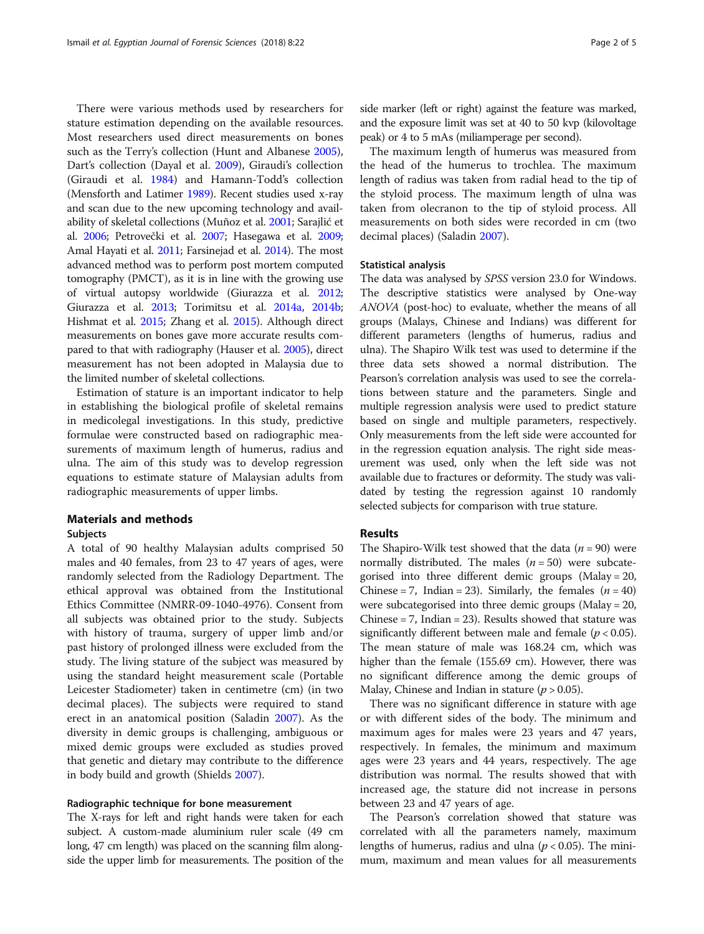There were various methods used by researchers for stature estimation depending on the available resources. Most researchers used direct measurements on bones such as the Terry's collection (Hunt and Albanese [2005](#page-4-0)), Dart's collection (Dayal et al. [2009\)](#page-4-0), Giraudi's collection (Giraudi et al. [1984](#page-4-0)) and Hamann-Todd's collection (Mensforth and Latimer [1989\)](#page-4-0). Recent studies used x-ray and scan due to the new upcoming technology and availability of skeletal collections (Muñoz et al. [2001;](#page-4-0) Sarajlić et al. [2006](#page-4-0); Petrovečki et al. [2007](#page-4-0); Hasegawa et al. [2009](#page-4-0); Amal Hayati et al. [2011;](#page-4-0) Farsinejad et al. [2014](#page-4-0)). The most advanced method was to perform post mortem computed tomography (PMCT), as it is in line with the growing use of virtual autopsy worldwide (Giurazza et al. [2012](#page-4-0); Giurazza et al. [2013](#page-4-0); Torimitsu et al. [2014a](#page-4-0), [2014b](#page-4-0); Hishmat et al. [2015](#page-4-0); Zhang et al. [2015\)](#page-4-0). Although direct measurements on bones gave more accurate results compared to that with radiography (Hauser et al. [2005](#page-4-0)), direct measurement has not been adopted in Malaysia due to the limited number of skeletal collections.

Estimation of stature is an important indicator to help in establishing the biological profile of skeletal remains in medicolegal investigations. In this study, predictive formulae were constructed based on radiographic measurements of maximum length of humerus, radius and ulna. The aim of this study was to develop regression equations to estimate stature of Malaysian adults from radiographic measurements of upper limbs.

## Materials and methods

## Subjects

A total of 90 healthy Malaysian adults comprised 50 males and 40 females, from 23 to 47 years of ages, were randomly selected from the Radiology Department. The ethical approval was obtained from the Institutional Ethics Committee (NMRR-09-1040-4976). Consent from all subjects was obtained prior to the study. Subjects with history of trauma, surgery of upper limb and/or past history of prolonged illness were excluded from the study. The living stature of the subject was measured by using the standard height measurement scale (Portable Leicester Stadiometer) taken in centimetre (cm) (in two decimal places). The subjects were required to stand erect in an anatomical position (Saladin [2007](#page-4-0)). As the diversity in demic groups is challenging, ambiguous or mixed demic groups were excluded as studies proved that genetic and dietary may contribute to the difference in body build and growth (Shields [2007](#page-4-0)).

## Radiographic technique for bone measurement

The X-rays for left and right hands were taken for each subject. A custom-made aluminium ruler scale (49 cm long, 47 cm length) was placed on the scanning film alongside the upper limb for measurements. The position of the

side marker (left or right) against the feature was marked, and the exposure limit was set at 40 to 50 kvp (kilovoltage peak) or 4 to 5 mAs (miliamperage per second).

The maximum length of humerus was measured from the head of the humerus to trochlea. The maximum length of radius was taken from radial head to the tip of the styloid process. The maximum length of ulna was taken from olecranon to the tip of styloid process. All measurements on both sides were recorded in cm (two decimal places) (Saladin [2007\)](#page-4-0).

### Statistical analysis

The data was analysed by SPSS version 23.0 for Windows. The descriptive statistics were analysed by One-way ANOVA (post-hoc) to evaluate, whether the means of all groups (Malays, Chinese and Indians) was different for different parameters (lengths of humerus, radius and ulna). The Shapiro Wilk test was used to determine if the three data sets showed a normal distribution. The Pearson's correlation analysis was used to see the correlations between stature and the parameters. Single and multiple regression analysis were used to predict stature based on single and multiple parameters, respectively. Only measurements from the left side were accounted for in the regression equation analysis. The right side measurement was used, only when the left side was not available due to fractures or deformity. The study was validated by testing the regression against 10 randomly selected subjects for comparison with true stature.

# Results

The Shapiro-Wilk test showed that the data ( $n = 90$ ) were normally distributed. The males  $(n = 50)$  were subcategorised into three different demic groups (Malay = 20, Chinese = 7, Indian = 23). Similarly, the females  $(n = 40)$ were subcategorised into three demic groups (Malay = 20, Chinese  $= 7$ , Indian  $= 23$ ). Results showed that stature was significantly different between male and female ( $p < 0.05$ ). The mean stature of male was 168.24 cm, which was higher than the female (155.69 cm). However, there was no significant difference among the demic groups of Malay, Chinese and Indian in stature ( $p > 0.05$ ).

There was no significant difference in stature with age or with different sides of the body. The minimum and maximum ages for males were 23 years and 47 years, respectively. In females, the minimum and maximum ages were 23 years and 44 years, respectively. The age distribution was normal. The results showed that with increased age, the stature did not increase in persons between 23 and 47 years of age.

The Pearson's correlation showed that stature was correlated with all the parameters namely, maximum lengths of humerus, radius and ulna ( $p < 0.05$ ). The minimum, maximum and mean values for all measurements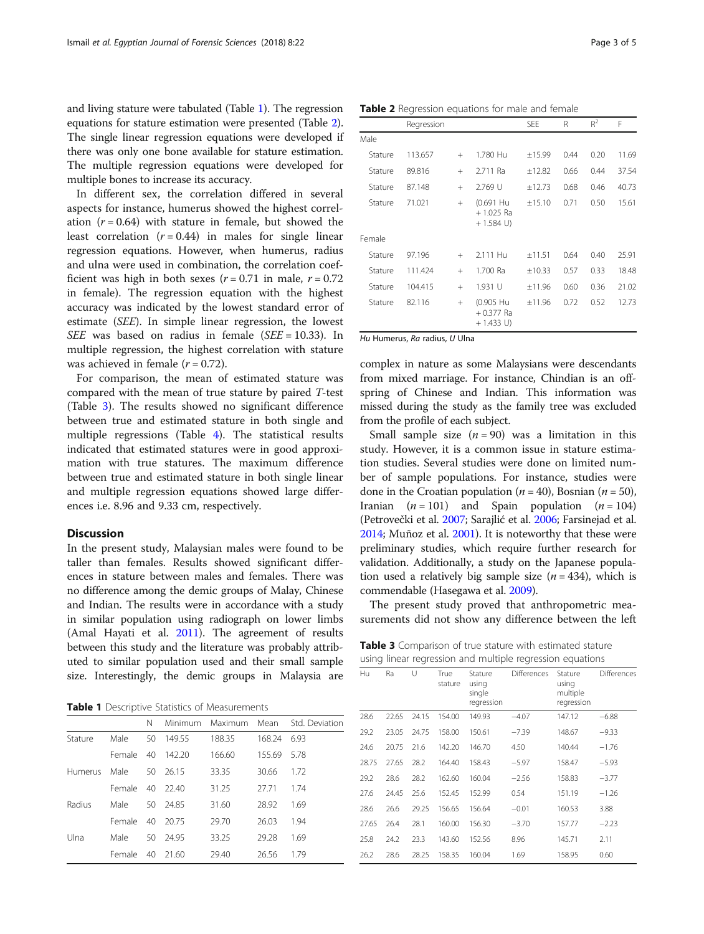and living stature were tabulated (Table 1). The regression equations for stature estimation were presented (Table 2). The single linear regression equations were developed if there was only one bone available for stature estimation. The multiple regression equations were developed for multiple bones to increase its accuracy.

In different sex, the correlation differed in several aspects for instance, humerus showed the highest correlation  $(r = 0.64)$  with stature in female, but showed the least correlation  $(r = 0.44)$  in males for single linear regression equations. However, when humerus, radius and ulna were used in combination, the correlation coefficient was high in both sexes  $(r = 0.71$  in male,  $r = 0.72$ in female). The regression equation with the highest accuracy was indicated by the lowest standard error of estimate (SEE). In simple linear regression, the lowest SEE was based on radius in female (SEE =  $10.33$ ). In multiple regression, the highest correlation with stature was achieved in female  $(r = 0.72)$ .

For comparison, the mean of estimated stature was compared with the mean of true stature by paired T-test (Table 3). The results showed no significant difference between true and estimated stature in both single and multiple regressions (Table [4](#page-3-0)). The statistical results indicated that estimated statures were in good approximation with true statures. The maximum difference between true and estimated stature in both single linear and multiple regression equations showed large differences i.e. 8.96 and 9.33 cm, respectively.

# **Discussion**

In the present study, Malaysian males were found to be taller than females. Results showed significant differences in stature between males and females. There was no difference among the demic groups of Malay, Chinese and Indian. The results were in accordance with a study in similar population using radiograph on lower limbs (Amal Hayati et al. [2011](#page-4-0)). The agreement of results between this study and the literature was probably attributed to similar population used and their small sample size. Interestingly, the demic groups in Malaysia are

Table 1 Descriptive Statistics of Measurements

|         |        | Ν  | Minimum | Maximum | Mean   | Std. Deviation |
|---------|--------|----|---------|---------|--------|----------------|
| Stature | Male   | 50 | 149.55  | 188.35  | 168.24 | 6.93           |
|         | Female | 40 | 142.20  | 166.60  | 155.69 | 5.78           |
| Humerus | Male   | 50 | 26.15   | 33.35   | 30.66  | 1.72           |
|         | Female | 40 | 22.40   | 31.25   | 27.71  | 1.74           |
| Radius  | Male   | 50 | 24.85   | 31.60   | 28.92  | 1.69           |
|         | Female | 40 | 20.75   | 29.70   | 26.03  | 1.94           |
| Ulna    | Male   | 50 | 24.95   | 33.25   | 29.28  | 1.69           |
|         | Female | 40 | 21.60   | 29.40   | 26.56  | 1.79           |

Table 2 Regression equations for male and female

|         | Regression |     |                                          | SEE    | R    | $R^2$ | F     |
|---------|------------|-----|------------------------------------------|--------|------|-------|-------|
| Male    |            |     |                                          |        |      |       |       |
| Stature | 113.657    | $+$ | 1.780 Hu                                 | ±15.99 | 0.44 | 0.20  | 11.69 |
| Stature | 89.816     | $+$ | 2.711 Ra                                 | ±12.82 | 0.66 | 0.44  | 37.54 |
| Stature | 87.148     | $+$ | 2.769 U                                  | ±12.73 | 0.68 | 0.46  | 40.73 |
| Stature | 71.021     | $+$ | (0.691 Hu<br>$+1.025$ Ra<br>$+ 1.584$ U) | ±15.10 | 0.71 | 0.50  | 15.61 |
| Female  |            |     |                                          |        |      |       |       |
| Stature | 97.196     | $+$ | 2.111 Hu                                 | ±11.51 | 0.64 | 0.40  | 25.91 |
| Stature | 111.424    | $+$ | 1.700 Ra                                 | ±10.33 | 0.57 | 0.33  | 18.48 |
| Stature | 104.415    | $+$ | 1.931 U                                  | ±11.96 | 0.60 | 0.36  | 21.02 |
| Stature | 82.116     | $+$ | (0.905 Hu<br>$+0.377$ Ra<br>$+ 1.433$ U) | ±11.96 | 0.72 | 0.52  | 12.73 |

Hu Humerus, Ra radius, U Ulna

complex in nature as some Malaysians were descendants from mixed marriage. For instance, Chindian is an offspring of Chinese and Indian. This information was missed during the study as the family tree was excluded from the profile of each subject.

Small sample size  $(n = 90)$  was a limitation in this study. However, it is a common issue in stature estimation studies. Several studies were done on limited number of sample populations. For instance, studies were done in the Croatian population ( $n = 40$ ), Bosnian ( $n = 50$ ), Iranian  $(n = 101)$  and Spain population  $(n = 104)$ (Petrovečki et al. [2007;](#page-4-0) Sarajlić et al. [2006](#page-4-0); Farsinejad et al. [2014;](#page-4-0) Muñoz et al. [2001](#page-4-0)). It is noteworthy that these were preliminary studies, which require further research for validation. Additionally, a study on the Japanese population used a relatively big sample size  $(n = 434)$ , which is commendable (Hasegawa et al. [2009](#page-4-0)).

The present study proved that anthropometric measurements did not show any difference between the left

Table 3 Comparison of true stature with estimated stature using linear regression and multiple regression equations

| Hu    | Ra    | U     | True<br>stature | Stature<br>using<br>single<br>regression | Differences Stature | using<br>multiple<br>regression | Differences |
|-------|-------|-------|-----------------|------------------------------------------|---------------------|---------------------------------|-------------|
| 28.6  | 22.65 | 24.15 | 154.00          | 149.93                                   | $-4.07$             | 147.12                          | $-6.88$     |
| 29.2  | 23.05 | 24.75 | 158.00          | 150.61                                   | $-7.39$             | 148.67                          | $-9.33$     |
| 24.6  | 20.75 | 21.6  | 142.20          | 146.70                                   | 4.50                | 140.44                          | $-1.76$     |
| 28.75 | 27.65 | 28.2  | 164.40          | 158.43                                   | $-5.97$             | 158.47                          | $-5.93$     |
| 29.2  | 28.6  | 28.2  | 162.60          | 160.04                                   | $-2.56$             | 158.83                          | $-3.77$     |
| 27.6  | 24.45 | 25.6  | 152.45          | 152.99                                   | 0.54                | 151.19                          | $-1.26$     |
| 28.6  | 26.6  | 29.25 | 156.65          | 156.64                                   | $-0.01$             | 160.53                          | 3.88        |
| 27.65 | 26.4  | 28.1  | 160.00          | 156.30                                   | $-3.70$             | 157.77                          | $-2.23$     |
| 25.8  | 24.2  | 23.3  | 143.60          | 152.56                                   | 8.96                | 145.71                          | 2.11        |
| 26.2  | 28.6  | 28.25 | 158.35          | 160.04                                   | 1.69                | 158.95                          | 0.60        |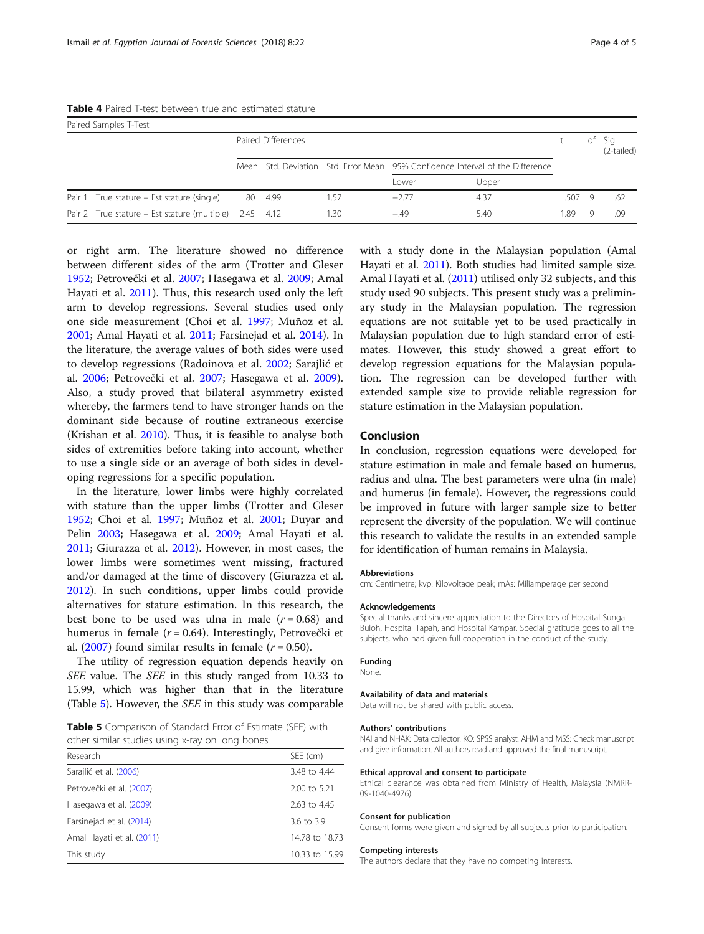<span id="page-3-0"></span>

| Table 4 Paired T-test between true and estimated stature |  |
|----------------------------------------------------------|--|
|----------------------------------------------------------|--|

|        | Paired Samples T-Test                               |     |                    |     |                                                                               |       |       |    |                    |
|--------|-----------------------------------------------------|-----|--------------------|-----|-------------------------------------------------------------------------------|-------|-------|----|--------------------|
|        |                                                     |     | Paired Differences |     |                                                                               |       |       | df | Sig.<br>(2-tailed) |
|        |                                                     |     |                    |     | Mean Std. Deviation Std. Error Mean 95% Confidence Interval of the Difference |       |       |    |                    |
|        |                                                     |     |                    |     | Lower                                                                         | Upper |       |    |                    |
| Pair 1 | True stature – Est stature (single)                 | .80 | - 4.99             | -57 | $-2.77$                                                                       | 4.37  | .5079 |    | .62                |
|        | Pair 2 True stature – Est stature (multiple) $2.45$ |     | 4.12               | .30 | $-49$                                                                         | 5.40  | 1.89  | O) | .09                |

or right arm. The literature showed no difference between different sides of the arm (Trotter and Gleser [1952](#page-4-0); Petrovečki et al. [2007;](#page-4-0) Hasegawa et al. [2009;](#page-4-0) Amal Hayati et al. [2011\)](#page-4-0). Thus, this research used only the left arm to develop regressions. Several studies used only one side measurement (Choi et al. [1997](#page-4-0); Muñoz et al. [2001](#page-4-0); Amal Hayati et al. [2011](#page-4-0); Farsinejad et al. [2014](#page-4-0)). In the literature, the average values of both sides were used to develop regressions (Radoinova et al. [2002;](#page-4-0) Sarajlić et al. [2006;](#page-4-0) Petrovečki et al. [2007;](#page-4-0) Hasegawa et al. [2009](#page-4-0)). Also, a study proved that bilateral asymmetry existed whereby, the farmers tend to have stronger hands on the dominant side because of routine extraneous exercise (Krishan et al. [2010\)](#page-4-0). Thus, it is feasible to analyse both sides of extremities before taking into account, whether to use a single side or an average of both sides in developing regressions for a specific population.

In the literature, lower limbs were highly correlated with stature than the upper limbs (Trotter and Gleser [1952](#page-4-0); Choi et al. [1997;](#page-4-0) Muñoz et al. [2001](#page-4-0); Duyar and Pelin [2003](#page-4-0); Hasegawa et al. [2009](#page-4-0); Amal Hayati et al. [2011](#page-4-0); Giurazza et al. [2012](#page-4-0)). However, in most cases, the lower limbs were sometimes went missing, fractured and/or damaged at the time of discovery (Giurazza et al. [2012](#page-4-0)). In such conditions, upper limbs could provide alternatives for stature estimation. In this research, the best bone to be used was ulna in male  $(r = 0.68)$  and humerus in female (r = 0.64). Interestingly, Petrovečki et al. ([2007\)](#page-4-0) found similar results in female  $(r = 0.50)$ .

The utility of regression equation depends heavily on SEE value. The SEE in this study ranged from 10.33 to 15.99, which was higher than that in the literature (Table 5). However, the SEE in this study was comparable

Table 5 Comparison of Standard Error of Estimate (SEE) with other similar studies using x-ray on long bones

| SEE (cm)       |
|----------------|
| 3.48 to 4.44   |
| 2.00 to 5.21   |
| 2.63 to 4.45   |
| 3.6 to 3.9     |
| 14.78 to 18.73 |
| 10.33 to 15.99 |
|                |

with a study done in the Malaysian population (Amal Hayati et al. [2011](#page-4-0)). Both studies had limited sample size. Amal Hayati et al. ([2011](#page-4-0)) utilised only 32 subjects, and this study used 90 subjects. This present study was a preliminary study in the Malaysian population. The regression equations are not suitable yet to be used practically in Malaysian population due to high standard error of estimates. However, this study showed a great effort to develop regression equations for the Malaysian population. The regression can be developed further with extended sample size to provide reliable regression for stature estimation in the Malaysian population.

## Conclusion

In conclusion, regression equations were developed for stature estimation in male and female based on humerus, radius and ulna. The best parameters were ulna (in male) and humerus (in female). However, the regressions could be improved in future with larger sample size to better represent the diversity of the population. We will continue this research to validate the results in an extended sample for identification of human remains in Malaysia.

#### Abbreviations

cm: Centimetre; kvp: Kilovoltage peak; mAs: Miliamperage per second

#### Acknowledgements

Special thanks and sincere appreciation to the Directors of Hospital Sungai Buloh, Hospital Tapah, and Hospital Kampar. Special gratitude goes to all the subjects, who had given full cooperation in the conduct of the study.

#### Funding

None.

#### Availability of data and materials

Data will not be shared with public access.

#### Authors' contributions

NAI and NHAK: Data collector. KO: SPSS analyst. AHM and MSS: Check manuscript and give information. All authors read and approved the final manuscript.

#### Ethical approval and consent to participate

Ethical clearance was obtained from Ministry of Health, Malaysia (NMRR-09-1040-4976).

#### Consent for publication

Consent forms were given and signed by all subjects prior to participation.

#### Competing interests

The authors declare that they have no competing interests.